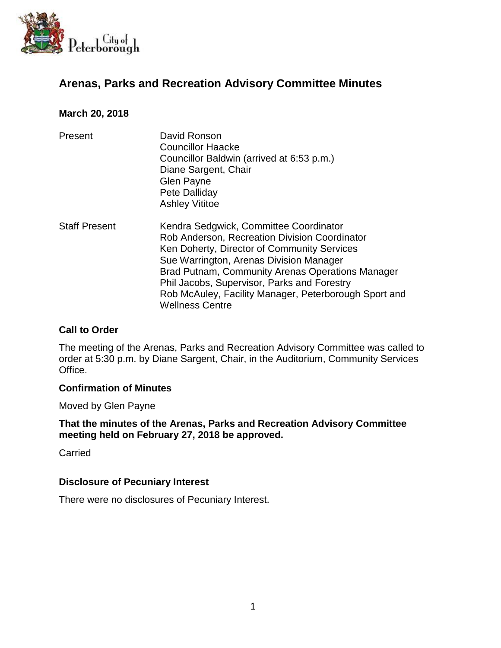

# **Arenas, Parks and Recreation Advisory Committee Minutes**

### **March 20, 2018**

| Present | David Ronson                              |
|---------|-------------------------------------------|
|         | <b>Councillor Haacke</b>                  |
|         | Councillor Baldwin (arrived at 6:53 p.m.) |
|         | Diane Sargent, Chair                      |
|         | <b>Glen Payne</b>                         |
|         | Pete Dalliday                             |
|         | <b>Ashley Vititoe</b>                     |

Staff Present Kendra Sedgwick, Committee Coordinator Rob Anderson, Recreation Division Coordinator Ken Doherty, Director of Community Services Sue Warrington, Arenas Division Manager Brad Putnam, Community Arenas Operations Manager Phil Jacobs, Supervisor, Parks and Forestry Rob McAuley, Facility Manager, Peterborough Sport and Wellness Centre

### **Call to Order**

The meeting of the Arenas, Parks and Recreation Advisory Committee was called to order at 5:30 p.m. by Diane Sargent, Chair, in the Auditorium, Community Services Office.

#### **Confirmation of Minutes**

Moved by Glen Payne

**That the minutes of the Arenas, Parks and Recreation Advisory Committee meeting held on February 27, 2018 be approved.**

**Carried** 

#### **Disclosure of Pecuniary Interest**

There were no disclosures of Pecuniary Interest.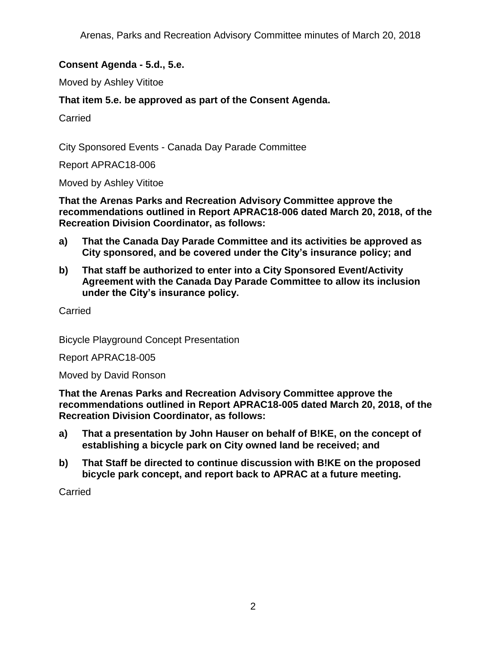# **Consent Agenda - 5.d., 5.e.**

Moved by Ashley Vititoe

## **That item 5.e. be approved as part of the Consent Agenda.**

Carried

City Sponsored Events - Canada Day Parade Committee

Report APRAC18-006

Moved by Ashley Vititoe

**That the Arenas Parks and Recreation Advisory Committee approve the recommendations outlined in Report APRAC18-006 dated March 20, 2018, of the Recreation Division Coordinator, as follows:**

- **a) That the Canada Day Parade Committee and its activities be approved as City sponsored, and be covered under the City's insurance policy; and**
- **b) That staff be authorized to enter into a City Sponsored Event/Activity Agreement with the Canada Day Parade Committee to allow its inclusion under the City's insurance policy.**

Carried

Bicycle Playground Concept Presentation

Report APRAC18-005

Moved by David Ronson

**That the Arenas Parks and Recreation Advisory Committee approve the recommendations outlined in Report APRAC18-005 dated March 20, 2018, of the Recreation Division Coordinator, as follows:**

- **a) That a presentation by John Hauser on behalf of B!KE, on the concept of establishing a bicycle park on City owned land be received; and**
- **b) That Staff be directed to continue discussion with B!KE on the proposed bicycle park concept, and report back to APRAC at a future meeting.**

**Carried**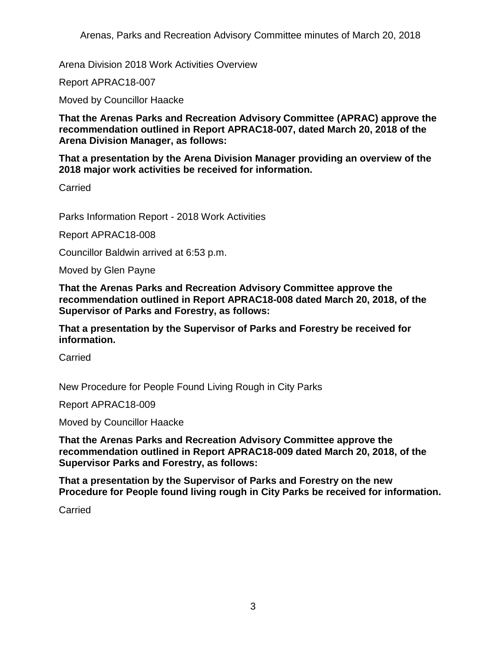Arenas, Parks and Recreation Advisory Committee minutes of March 20, 2018

Arena Division 2018 Work Activities Overview

Report APRAC18-007

Moved by Councillor Haacke

**That the Arenas Parks and Recreation Advisory Committee (APRAC) approve the recommendation outlined in Report APRAC18-007, dated March 20, 2018 of the Arena Division Manager, as follows:**

**That a presentation by the Arena Division Manager providing an overview of the 2018 major work activities be received for information.**

**Carried** 

Parks Information Report - 2018 Work Activities

Report APRAC18-008

Councillor Baldwin arrived at 6:53 p.m.

Moved by Glen Payne

**That the Arenas Parks and Recreation Advisory Committee approve the recommendation outlined in Report APRAC18-008 dated March 20, 2018, of the Supervisor of Parks and Forestry, as follows:**

**That a presentation by the Supervisor of Parks and Forestry be received for information.**

Carried

New Procedure for People Found Living Rough in City Parks

Report APRAC18-009

Moved by Councillor Haacke

**That the Arenas Parks and Recreation Advisory Committee approve the recommendation outlined in Report APRAC18-009 dated March 20, 2018, of the Supervisor Parks and Forestry, as follows:**

**That a presentation by the Supervisor of Parks and Forestry on the new Procedure for People found living rough in City Parks be received for information.**

**Carried**